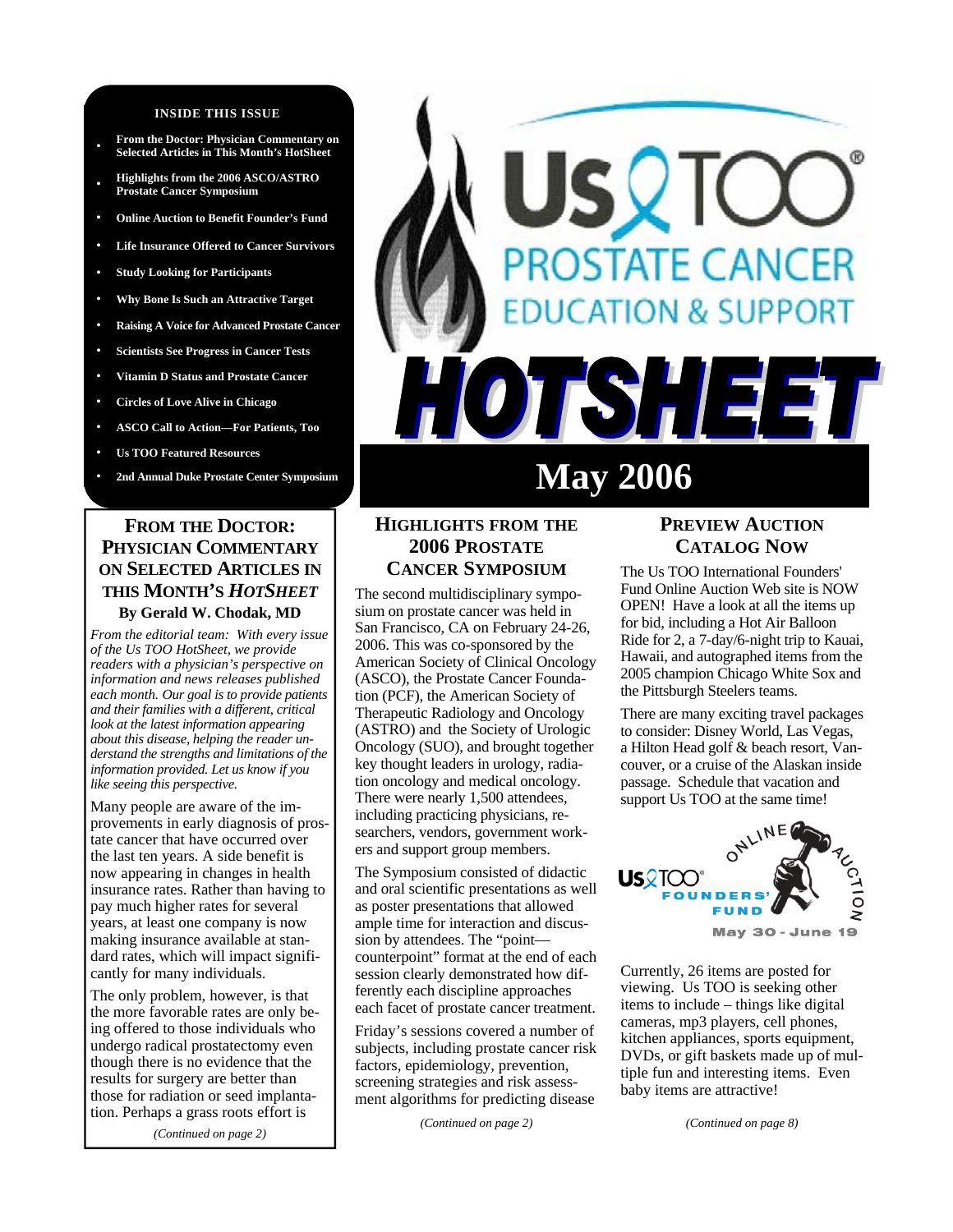#### **INSIDE THIS ISSUE**

- **From the Doctor: Physician Commentary on Selected Articles in This Month's HotSheet**
- **• Highlights from the 2006 ASCO/ASTRO Prostate Cancer Symposium**
- **• Online Auction to Benefit Founder's Fund**
- **• Life Insurance Offered to Cancer Survivors**
- **• Study Looking for Participants**
- **• Why Bone Is Such an Attractive Target**
- **• Raising A Voice for Advanced Prostate Cancer**
- **• Scientists See Progress in Cancer Tests**
- **• Vitamin D Status and Prostate Cancer**
- **• Circles of Love Alive in Chicago**
- **• ASCO Call to Action—For Patients, Too**
- **• Us TOO Featured Resources**
- 

#### **FROM THE DOCTOR: PHYSICIAN COMMENTARY ON SELECTED ARTICLES IN THIS MONTH'S** *HOTSHEET* **By Gerald W. Chodak, MD**

*From the editorial team: With every issue of the Us TOO HotSheet, we provide readers with a physician's perspective on information and news releases published each month. Our goal is to provide patients and their families with a different, critical look at the latest information appearing about this disease, helping the reader understand the strengths and limitations of the information provided. Let us know if you like seeing this perspective.* 

Many people are aware of the improvements in early diagnosis of prostate cancer that have occurred over the last ten years. A side benefit is now appearing in changes in health insurance rates. Rather than having to pay much higher rates for several years, at least one company is now making insurance available at standard rates, which will impact significantly for many individuals.

The only problem, however, is that the more favorable rates are only being offered to those individuals who undergo radical prostatectomy even though there is no evidence that the results for surgery are better than those for radiation or seed implantation. Perhaps a grass roots effort is

*(Continued on page 2)* 

# STATE CANCER **DN & SUPPORT** 77 E N

# 2nd Annual Duke Prostate Center Symposium **May 2006**

#### **HIGHLIGHTS FROM THE 2006 PROSTATE CANCER SYMPOSIUM**

The second multidisciplinary symposium on prostate cancer was held in San Francisco, CA on February 24-26, 2006. This was co-sponsored by the American Society of Clinical Oncology (ASCO), the Prostate Cancer Foundation (PCF), the American Society of Therapeutic Radiology and Oncology (ASTRO) and the Society of Urologic Oncology (SUO), and brought together key thought leaders in urology, radiation oncology and medical oncology. There were nearly 1,500 attendees, including practicing physicians, researchers, vendors, government workers and support group members.

The Symposium consisted of didactic and oral scientific presentations as well as poster presentations that allowed ample time for interaction and discussion by attendees. The "point counterpoint" format at the end of each session clearly demonstrated how differently each discipline approaches each facet of prostate cancer treatment.

Friday's sessions covered a number of subjects, including prostate cancer risk factors, epidemiology, prevention, screening strategies and risk assessment algorithms for predicting disease

*(Continued on page 2)* 

#### **PREVIEW AUCTION CATALOG NOW**

The Us TOO International Founders' Fund Online Auction Web site is NOW OPEN! Have a look at all the items up for bid, including a Hot Air Balloon Ride for 2, a 7-day/6-night trip to Kauai, Hawaii, and autographed items from the 2005 champion Chicago White Sox and the Pittsburgh Steelers teams.

There are many exciting travel packages to consider: Disney World, Las Vegas, a Hilton Head golf & beach resort, Vancouver, or a cruise of the Alaskan inside passage. Schedule that vacation and support Us TOO at the same time!



Currently, 26 items are posted for viewing. Us TOO is seeking other items to include – things like digital cameras, mp3 players, cell phones, kitchen appliances, sports equipment, DVDs, or gift baskets made up of multiple fun and interesting items. Even baby items are attractive!

*(Continued on page 8)*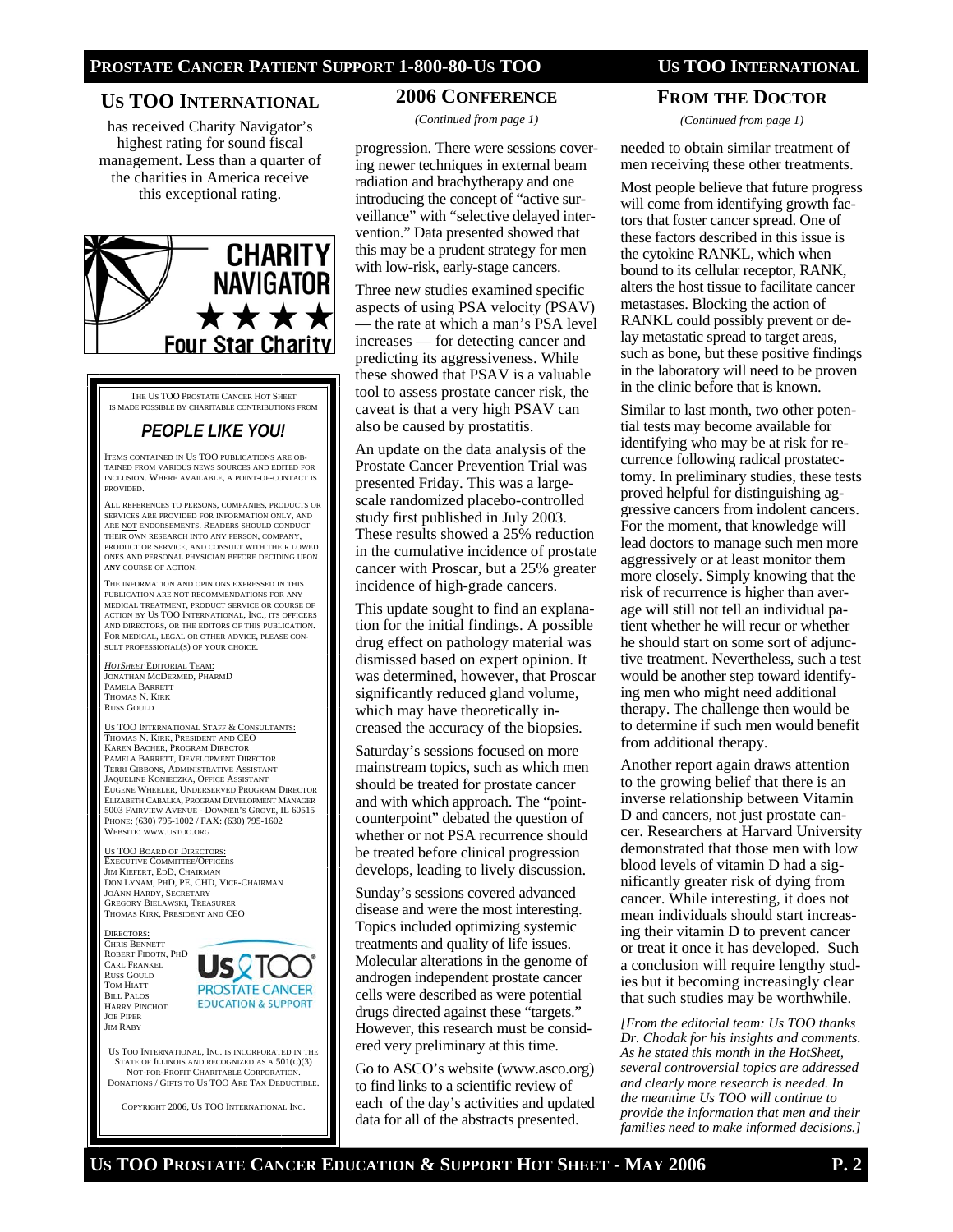#### **US TOO INTERNATIONAL**

has received Charity Navigator's highest rating for sound fiscal management. Less than a quarter of the charities in America receive this exceptional rating.



THE US TOO PROSTATE CANCER HOT SHEET IS MADE POSSIBLE BY CHARITABLE CONTRIBUTIONS FROM

## *PEOPLE LIKE YOU!*

ITEMS CONTAINED IN US TOO PUBLICATIONS ARE OB-TAINED FROM VARIOUS NEWS SOURCES AND EDITED FOR INCLUSION. WHERE AVAILABLE, A POINT-OF-CONTACT IS PROVIDED.

ALL REFERENCES TO PERSONS, COMPANIES, PRODUCTS OR SERVICES ARE PROVIDED FOR INFORMATION ONLY, AND ARE NOT ENDORSEMENTS. READERS SHOULD CONDUCT THEIR OWN RESEARCH INTO ANY PERSON, COMPANY, PRODUCT OR SERVICE, AND CONSULT WITH THEIR LOWED ONES AND PERSONAL PHYSICIAN BEFORE DECIDING UPON **ANY** COURSE OF ACTION.

THE INFORMATION AND OPINIONS EXPRESSED IN THIS PUBLICATION ARE NOT RECOMMENDATIONS FOR ANY MEDICAL TREATMENT, PRODUCT SERVICE OR COURSE OF ACTION BY US TOO INTERNATIONAL, INC., ITS OFFICERS AND DIRECTORS, OR THE EDITORS OF THIS PUBLICATION. FOR MEDICAL, LEGAL OR OTHER ADVICE, PLEASE CON-SULT PROFESSIONAL(S) OF YOUR CHOICE.

*HOTSHEET* EDITORIAL TEAM: JONATHAN MCDERMED, PHARMD PAMELA BARRETT THOMAS N. KIRK RUSS GOULD

US TOO INTERNATIONAL STAFF & CONSULTANTS: THOMAS N. KIRK, PRESIDENT AND CEO KAREN BACHER, PROGRAM DIRECTOR PAMELA BARRETT, DEVELOPMENT DIRECTOR TERRI GIBBONS, ADMINISTRATIVE ASSISTANT JAQUELINE KONIECZKA, OFFICE ASSISTANT EUGENE WHEELER, UNDERSERVED PROGRAM DIRECTOR ELIZABETH CABALKA, PROGRAM DEVELOPMENT MANAGER 5003 FAIRVIEW AVENUE - DOWNER'S GROVE, IL 60515 PHONE: (630) 795-1002 / FAX: (630) 795-1602 WEBSITE: WWW.USTOO.ORG

US TOO BOARD OF DIRECTORS: EXECUTIVE COMMITTEE/OFFICERS JIM KIEFERT, EDD, CHAIRMAN DON LYNAM, PHD, PE, CHD, VICE-CHAIRMAN JOANN HARDY, SECRETARY GREGORY BIELAWSKI, TREASURER THOMAS KIRK, PRESIDENT AND CEO

DIRECTORS: CHRIS BENNETT ROBERT FIDOTN, PHD CARL FRANKEL RUSS GOULD TOM HIATT BILL PALOS HARRY PINCHOT JOE PIPER **JIM RABY** 



US TOO INTERNATIONAL, INC. IS INCORPORATED IN THE STATE OF ILLINOIS AND RECOGNIZED AS A 501(C)(3) NOT-FOR-PROFIT CHARITABLE CORPORATION. DONATIONS / GIFTS TO US TOO ARE TAX DEDUCTIBLE.

COPYRIGHT 2006, US TOO INTERNATIONAL INC.

#### **2006 CONFERENCE**

*(Continued from page 1)* 

progression. There were sessions covering newer techniques in external beam radiation and brachytherapy and one introducing the concept of "active surveillance" with "selective delayed intervention." Data presented showed that this may be a prudent strategy for men with low-risk, early-stage cancers.

Three new studies examined specific aspects of using PSA velocity (PSAV) — the rate at which a man's PSA level increases — for detecting cancer and predicting its aggressiveness. While these showed that PSAV is a valuable tool to assess prostate cancer risk, the caveat is that a very high PSAV can also be caused by prostatitis.

An update on the data analysis of the Prostate Cancer Prevention Trial was presented Friday. This was a largescale randomized placebo-controlled study first published in July 2003. These results showed a 25% reduction in the cumulative incidence of prostate cancer with Proscar, but a 25% greater incidence of high-grade cancers.

This update sought to find an explanation for the initial findings. A possible drug effect on pathology material was dismissed based on expert opinion. It was determined, however, that Proscar significantly reduced gland volume, which may have theoretically increased the accuracy of the biopsies.

Saturday's sessions focused on more mainstream topics, such as which men should be treated for prostate cancer and with which approach. The "pointcounterpoint" debated the question of whether or not PSA recurrence should be treated before clinical progression develops, leading to lively discussion.

Sunday's sessions covered advanced disease and were the most interesting. Topics included optimizing systemic treatments and quality of life issues. Molecular alterations in the genome of androgen independent prostate cancer cells were described as were potential drugs directed against these "targets." However, this research must be considered very preliminary at this time.

Go to ASCO's website (www.asco.org) to find links to a scientific review of each of the day's activities and updated data for all of the abstracts presented.

#### **FROM THE DOCTOR**

*(Continued from page 1)* 

needed to obtain similar treatment of men receiving these other treatments.

Most people believe that future progress will come from identifying growth factors that foster cancer spread. One of these factors described in this issue is the cytokine RANKL, which when bound to its cellular receptor, RANK, alters the host tissue to facilitate cancer metastases. Blocking the action of RANKL could possibly prevent or delay metastatic spread to target areas, such as bone, but these positive findings in the laboratory will need to be proven in the clinic before that is known.

Similar to last month, two other potential tests may become available for identifying who may be at risk for recurrence following radical prostatectomy. In preliminary studies, these tests proved helpful for distinguishing aggressive cancers from indolent cancers. For the moment, that knowledge will lead doctors to manage such men more aggressively or at least monitor them more closely. Simply knowing that the risk of recurrence is higher than average will still not tell an individual patient whether he will recur or whether he should start on some sort of adjunctive treatment. Nevertheless, such a test would be another step toward identifying men who might need additional therapy. The challenge then would be to determine if such men would benefit from additional therapy.

Another report again draws attention to the growing belief that there is an inverse relationship between Vitamin D and cancers, not just prostate cancer. Researchers at Harvard University demonstrated that those men with low blood levels of vitamin D had a significantly greater risk of dying from cancer. While interesting, it does not mean individuals should start increasing their vitamin D to prevent cancer or treat it once it has developed. Such a conclusion will require lengthy studies but it becoming increasingly clear that such studies may be worthwhile.

*[From the editorial team: Us TOO thanks Dr. Chodak for his insights and comments. As he stated this month in the HotSheet, several controversial topics are addressed and clearly more research is needed. In the meantime Us TOO will continue to provide the information that men and their families need to make informed decisions.]*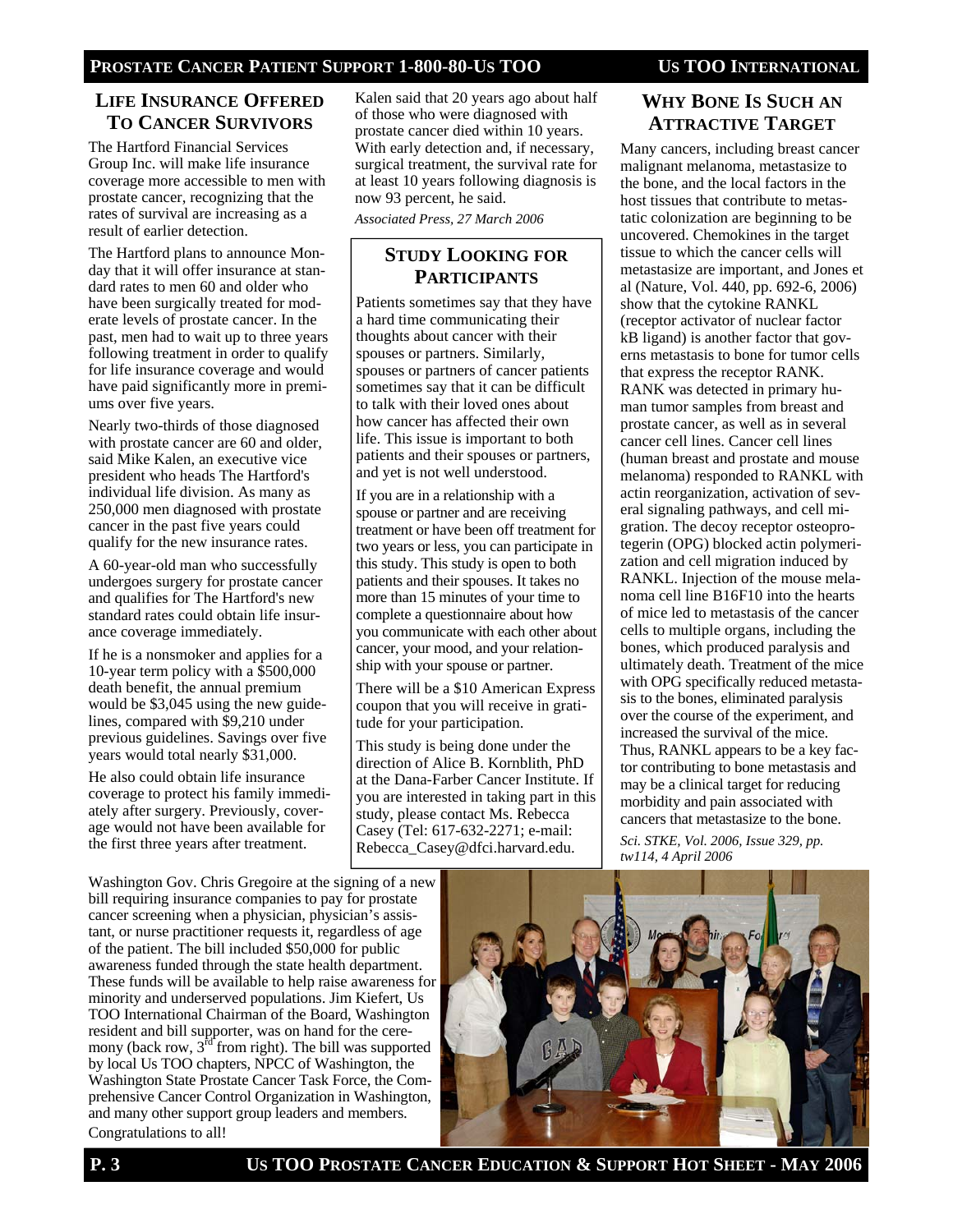#### **LIFE INSURANCE OFFERED TO CANCER SURVIVORS**

The Hartford Financial Services Group Inc. will make life insurance coverage more accessible to men with prostate cancer, recognizing that the rates of survival are increasing as a result of earlier detection.

The Hartford plans to announce Monday that it will offer insurance at standard rates to men 60 and older who have been surgically treated for moderate levels of prostate cancer. In the past, men had to wait up to three years following treatment in order to qualify for life insurance coverage and would have paid significantly more in premiums over five years.

Nearly two-thirds of those diagnosed with prostate cancer are 60 and older, said Mike Kalen, an executive vice president who heads The Hartford's individual life division. As many as 250,000 men diagnosed with prostate cancer in the past five years could qualify for the new insurance rates.

A 60-year-old man who successfully undergoes surgery for prostate cancer and qualifies for The Hartford's new standard rates could obtain life insurance coverage immediately.

If he is a nonsmoker and applies for a 10-year term policy with a \$500,000 death benefit, the annual premium would be \$3,045 using the new guidelines, compared with \$9,210 under previous guidelines. Savings over five years would total nearly \$31,000.

He also could obtain life insurance coverage to protect his family immediately after surgery. Previously, coverage would not have been available for the first three years after treatment.

Kalen said that 20 years ago about half of those who were diagnosed with prostate cancer died within 10 years. With early detection and, if necessary, surgical treatment, the survival rate for at least 10 years following diagnosis is now 93 percent, he said.

*Associated Press, 27 March 2006* 

#### **STUDY LOOKING FOR PARTICIPANTS**

Patients sometimes say that they have a hard time communicating their thoughts about cancer with their spouses or partners. Similarly, spouses or partners of cancer patients sometimes say that it can be difficult to talk with their loved ones about how cancer has affected their own life. This issue is important to both patients and their spouses or partners, and yet is not well understood.

If you are in a relationship with a spouse or partner and are receiving treatment or have been off treatment for two years or less, you can participate in this study. This study is open to both patients and their spouses. It takes no more than 15 minutes of your time to complete a questionnaire about how you communicate with each other about cancer, your mood, and your relationship with your spouse or partner.

There will be a \$10 American Express coupon that you will receive in gratitude for your participation.

This study is being done under the direction of Alice B. Kornblith, PhD at the Dana-Farber Cancer Institute. If you are interested in taking part in this study, please contact Ms. Rebecca Casey (Tel: 617-632-2271; e-mail: Rebecca\_Casey@dfci.harvard.edu.

### **WHY BONE IS SUCH AN ATTRACTIVE TARGET**

Many cancers, including breast cancer malignant melanoma, metastasize to the bone, and the local factors in the host tissues that contribute to metastatic colonization are beginning to be uncovered. Chemokines in the target tissue to which the cancer cells will metastasize are important, and Jones et al (Nature, Vol. 440, pp. 692-6, 2006) show that the cytokine RANKL (receptor activator of nuclear factor kB ligand) is another factor that governs metastasis to bone for tumor cells that express the receptor RANK. RANK was detected in primary human tumor samples from breast and prostate cancer, as well as in several cancer cell lines. Cancer cell lines (human breast and prostate and mouse melanoma) responded to RANKL with actin reorganization, activation of several signaling pathways, and cell migration. The decoy receptor osteoprotegerin (OPG) blocked actin polymerization and cell migration induced by RANKL. Injection of the mouse melanoma cell line B16F10 into the hearts of mice led to metastasis of the cancer cells to multiple organs, including the bones, which produced paralysis and ultimately death. Treatment of the mice with OPG specifically reduced metastasis to the bones, eliminated paralysis over the course of the experiment, and increased the survival of the mice. Thus, RANKL appears to be a key factor contributing to bone metastasis and may be a clinical target for reducing morbidity and pain associated with cancers that metastasize to the bone.

*Sci. STKE, Vol. 2006, Issue 329, pp. tw114, 4 April 2006*

Washington Gov. Chris Gregoire at the signing of a new bill requiring insurance companies to pay for prostate cancer screening when a physician, physician's assistant, or nurse practitioner requests it, regardless of age of the patient. The bill included \$50,000 for public awareness funded through the state health department. These funds will be available to help raise awareness for minority and underserved populations. Jim Kiefert, Us TOO International Chairman of the Board, Washington resident and bill supporter, was on hand for the ceremony (back row,  $3<sup>rd</sup>$  from right). The bill was supported by local Us TOO chapters, NPCC of Washington, the Washington State Prostate Cancer Task Force, the Comprehensive Cancer Control Organization in Washington, and many other support group leaders and members. Congratulations to all!

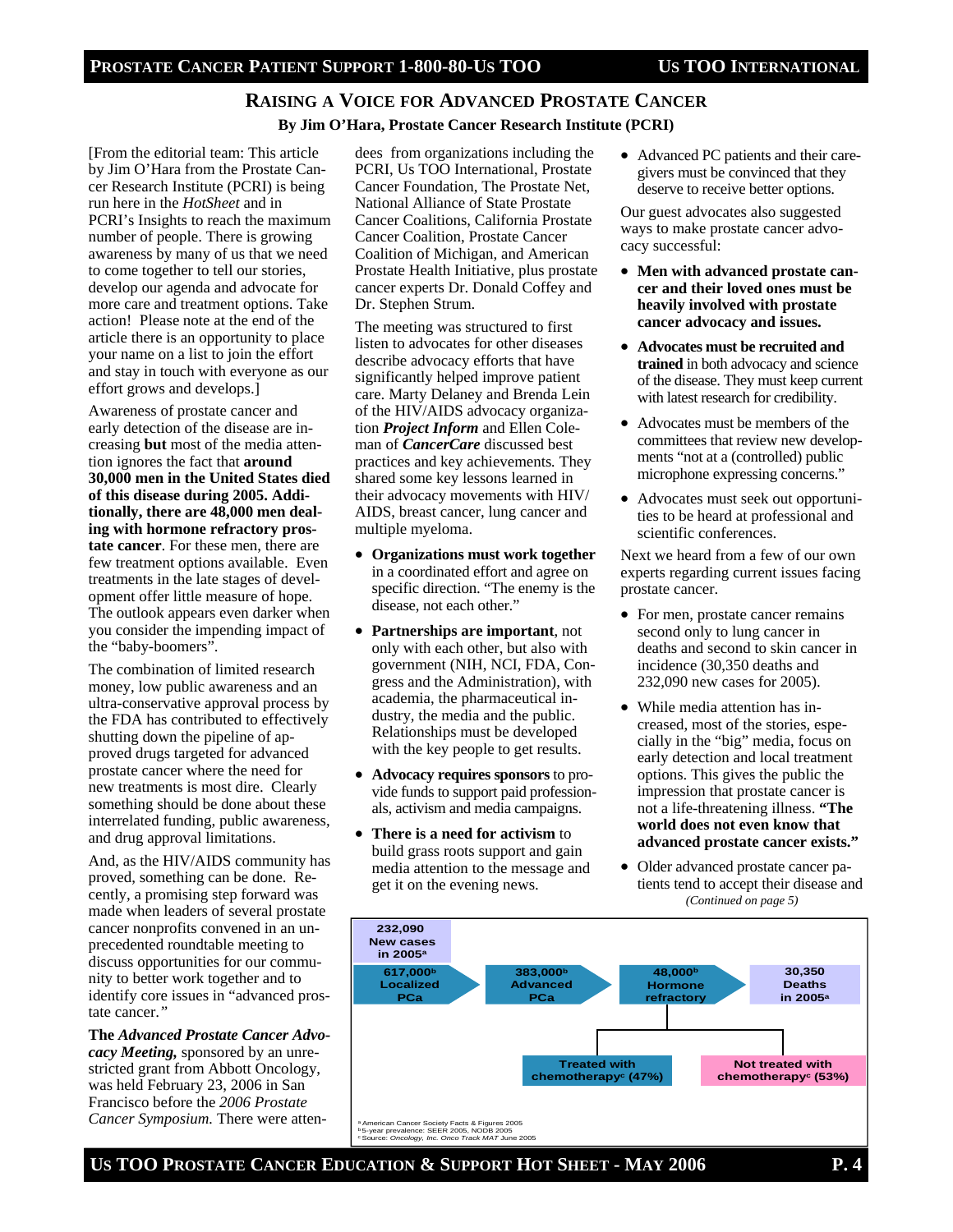## **RAISING A VOICE FOR ADVANCED PROSTATE CANCER**

#### **By Jim O'Hara, Prostate Cancer Research Institute (PCRI)**

[From the editorial team: This article by Jim O'Hara from the Prostate Cancer Research Institute (PCRI) is being run here in the *HotSheet* and in PCRI's Insights to reach the maximum number of people. There is growing awareness by many of us that we need to come together to tell our stories, develop our agenda and advocate for more care and treatment options. Take action! Please note at the end of the article there is an opportunity to place your name on a list to join the effort and stay in touch with everyone as our effort grows and develops.]

Awareness of prostate cancer and early detection of the disease are increasing **but** most of the media attention ignores the fact that **around 30,000 men in the United States died of this disease during 2005. Additionally, there are 48,000 men dealing with hormone refractory prostate cancer**. For these men, there are few treatment options available. Even treatments in the late stages of development offer little measure of hope. The outlook appears even darker when you consider the impending impact of the "baby-boomers".

The combination of limited research money, low public awareness and an ultra-conservative approval process by the FDA has contributed to effectively shutting down the pipeline of approved drugs targeted for advanced prostate cancer where the need for new treatments is most dire. Clearly something should be done about these interrelated funding, public awareness, and drug approval limitations.

And, as the HIV/AIDS community has proved, something can be done. Recently, a promising step forward was made when leaders of several prostate cancer nonprofits convened in an unprecedented roundtable meeting to discuss opportunities for our community to better work together and to identify core issues in "advanced prostate cancer.*"*

**The** *Advanced Prostate Cancer Advocacy Meeting,* sponsored by an unrestricted grant from Abbott Oncology, was held February 23, 2006 in San Francisco before the *2006 Prostate Cancer Symposium.* There were atten-

dees from organizations including the PCRI, Us TOO International, Prostate Cancer Foundation, The Prostate Net, National Alliance of State Prostate Cancer Coalitions, California Prostate Cancer Coalition, Prostate Cancer Coalition of Michigan, and American Prostate Health Initiative, plus prostate cancer experts Dr. Donald Coffey and Dr. Stephen Strum.

The meeting was structured to first listen to advocates for other diseases describe advocacy efforts that have significantly helped improve patient care. Marty Delaney and Brenda Lein of the HIV/AIDS advocacy organization *Project Inform* and Ellen Coleman of *CancerCare* discussed best practices and key achievements*.* They shared some key lessons learned in their advocacy movements with HIV/ AIDS, breast cancer, lung cancer and multiple myeloma.

- **Organizations must work together** in a coordinated effort and agree on specific direction. "The enemy is the disease, not each other."
- **Partnerships are important**, not only with each other, but also with government (NIH, NCI, FDA, Congress and the Administration), with academia, the pharmaceutical industry, the media and the public. Relationships must be developed with the key people to get results.
- **Advocacy requires sponsors** to provide funds to support paid professionals, activism and media campaigns.
- **There is a need for activism** to build grass roots support and gain media attention to the message and get it on the evening news.

• Advanced PC patients and their caregivers must be convinced that they deserve to receive better options.

Our guest advocates also suggested ways to make prostate cancer advocacy successful:

- **Men with advanced prostate cancer and their loved ones must be heavily involved with prostate cancer advocacy and issues.**
- **Advocates must be recruited and trained** in both advocacy and science of the disease. They must keep current with latest research for credibility.
- Advocates must be members of the committees that review new developments "not at a (controlled) public microphone expressing concerns."
- Advocates must seek out opportunities to be heard at professional and scientific conferences.

Next we heard from a few of our own experts regarding current issues facing prostate cancer.

- For men, prostate cancer remains second only to lung cancer in deaths and second to skin cancer in incidence (30,350 deaths and 232,090 new cases for 2005).
- While media attention has increased, most of the stories, especially in the "big" media, focus on early detection and local treatment options. This gives the public the impression that prostate cancer is not a life-threatening illness. **"The world does not even know that advanced prostate cancer exists."**
- Older advanced prostate cancer patients tend to accept their disease and *(Continued on page 5)*



**US TOO PROSTATE CANCER EDUCATION & SUPPORT HOT SHEET - MAY 2006 P. 4**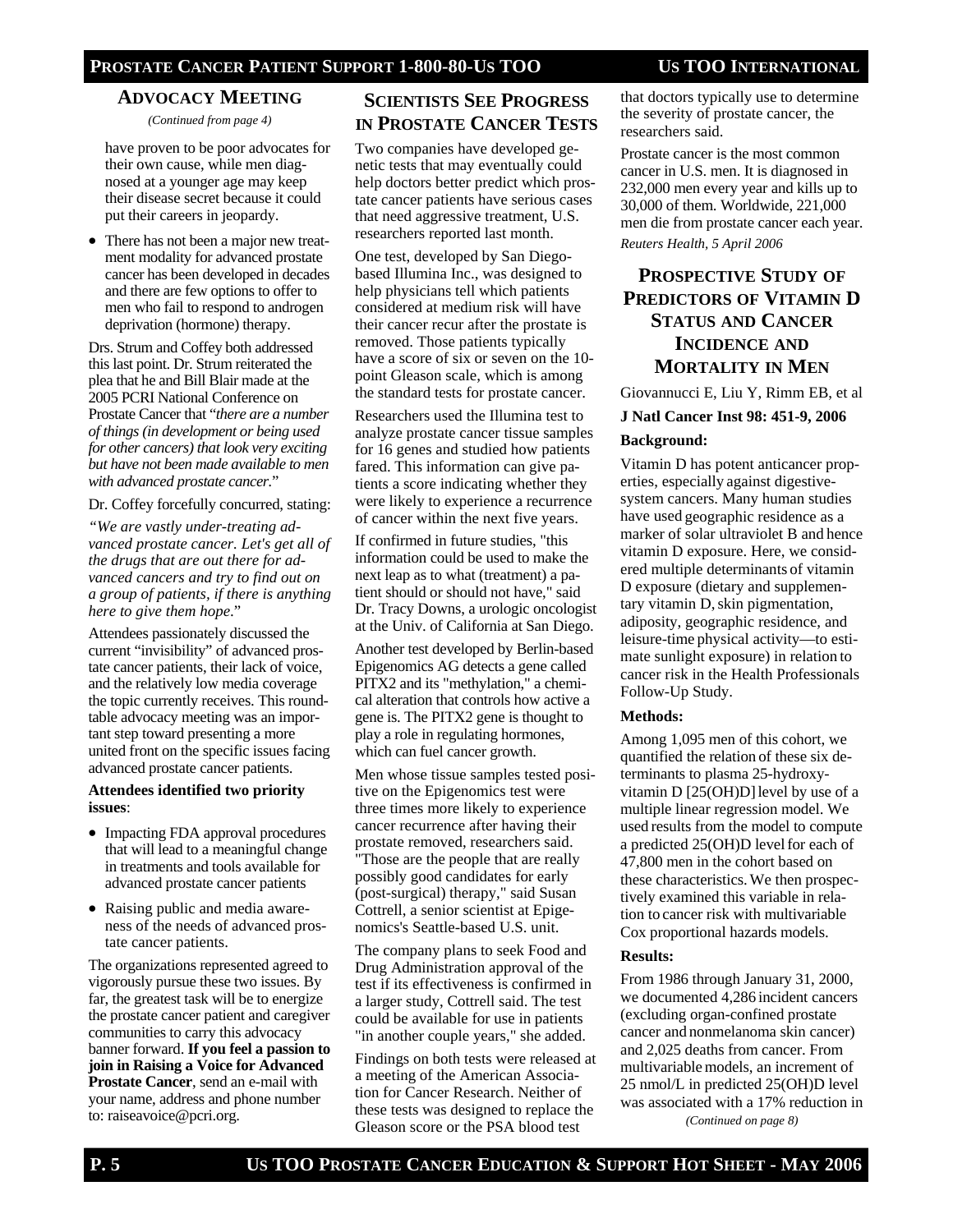#### **PROSTATE CANCER PATIENT SUPPORT 1-800-80-US TOO US TOO INTERNATIONAL**

#### **ADVOCACY MEETING**

*(Continued from page 4)* 

have proven to be poor advocates for their own cause, while men diagnosed at a younger age may keep their disease secret because it could put their careers in jeopardy.

• There has not been a major new treatment modality for advanced prostate cancer has been developed in decades and there are few options to offer to men who fail to respond to androgen deprivation (hormone) therapy.

Drs. Strum and Coffey both addressed this last point. Dr. Strum reiterated the plea that he and Bill Blair made at the 2005 PCRI National Conference on Prostate Cancer that "*there are a number of things (in development or being used for other cancers) that look very exciting but have not been made available to men with advanced prostate cancer.*"

Dr. Coffey forcefully concurred, stating:

*"We are vastly under-treating advanced prostate cancer. Let's get all of the drugs that are out there for advanced cancers and try to find out on a group of patients, if there is anything here to give them hope*."

Attendees passionately discussed the current "invisibility" of advanced prostate cancer patients, their lack of voice, and the relatively low media coverage the topic currently receives. This roundtable advocacy meeting was an important step toward presenting a more united front on the specific issues facing advanced prostate cancer patients.

#### **Attendees identified two priority issues**:

- Impacting FDA approval procedures that will lead to a meaningful change in treatments and tools available for advanced prostate cancer patients
- Raising public and media awareness of the needs of advanced prostate cancer patients.

The organizations represented agreed to vigorously pursue these two issues. By far, the greatest task will be to energize the prostate cancer patient and caregiver communities to carry this advocacy banner forward. **If you feel a passion to join in Raising a Voice for Advanced Prostate Cancer**, send an e-mail with your name, address and phone number to: raiseavoice@pcri.org.

#### **SCIENTISTS SEE PROGRESS IN PROSTATE CANCER TESTS**

Two companies have developed genetic tests that may eventually could help doctors better predict which prostate cancer patients have serious cases that need aggressive treatment, U.S. researchers reported last month.

One test, developed by San Diegobased Illumina Inc., was designed to help physicians tell which patients considered at medium risk will have their cancer recur after the prostate is removed. Those patients typically have a score of six or seven on the 10 point Gleason scale, which is among the standard tests for prostate cancer.

Researchers used the Illumina test to analyze prostate cancer tissue samples for 16 genes and studied how patients fared. This information can give patients a score indicating whether they were likely to experience a recurrence of cancer within the next five years.

If confirmed in future studies, "this information could be used to make the next leap as to what (treatment) a patient should or should not have," said Dr. Tracy Downs, a urologic oncologist at the Univ. of California at San Diego.

Another test developed by Berlin-based Epigenomics AG detects a gene called PITX2 and its "methylation," a chemical alteration that controls how active a gene is. The PITX2 gene is thought to play a role in regulating hormones, which can fuel cancer growth.

Men whose tissue samples tested positive on the Epigenomics test were three times more likely to experience cancer recurrence after having their prostate removed, researchers said. "Those are the people that are really possibly good candidates for early (post-surgical) therapy," said Susan Cottrell, a senior scientist at Epigenomics's Seattle-based U.S. unit.

The company plans to seek Food and Drug Administration approval of the test if its effectiveness is confirmed in a larger study, Cottrell said. The test could be available for use in patients "in another couple years," she added.

Findings on both tests were released at a meeting of the American Association for Cancer Research. Neither of these tests was designed to replace the Gleason score or the PSA blood test

that doctors typically use to determine the severity of prostate cancer, the researchers said.

Prostate cancer is the most common cancer in U.S. men. It is diagnosed in 232,000 men every year and kills up to 30,000 of them. Worldwide, 221,000 men die from prostate cancer each year.

*Reuters Health, 5 April 2006* 

## **PROSPECTIVE STUDY OF PREDICTORS OF VITAMIN D STATUS AND CANCER INCIDENCE AND MORTALITY IN MEN**

Giovannucci E, Liu Y, Rimm EB, et al

## **J Natl Cancer Inst 98: 451-9, 2006**

#### **Background:**

Vitamin D has potent anticancer properties, especially against digestivesystem cancers. Many human studies have used geographic residence as a marker of solar ultraviolet B and hence vitamin D exposure. Here, we considered multiple determinants of vitamin D exposure (dietary and supplementary vitamin D, skin pigmentation, adiposity, geographic residence, and leisure-time physical activity—to estimate sunlight exposure) in relation to cancer risk in the Health Professionals Follow-Up Study.

#### **Methods:**

Among 1,095 men of this cohort, we quantified the relation of these six determinants to plasma 25-hydroxyvitamin D  $[25(OH)D]$  level by use of a multiple linear regression model. We used results from the model to compute a predicted 25(OH)D levelfor each of 47,800 men in the cohort based on these characteristics.We then prospectively examined this variable in relation to cancer risk with multivariable Cox proportional hazards models.

#### **Results:**

From 1986 through January 31, 2000, we documented 4,286 incident cancers (excluding organ-confined prostate cancer and nonmelanoma skin cancer) and 2,025 deaths from cancer. From multivariable models, an increment of 25 nmol/L in predicted 25(OH)D level was associated with a 17% reduction in *(Continued on page 8)*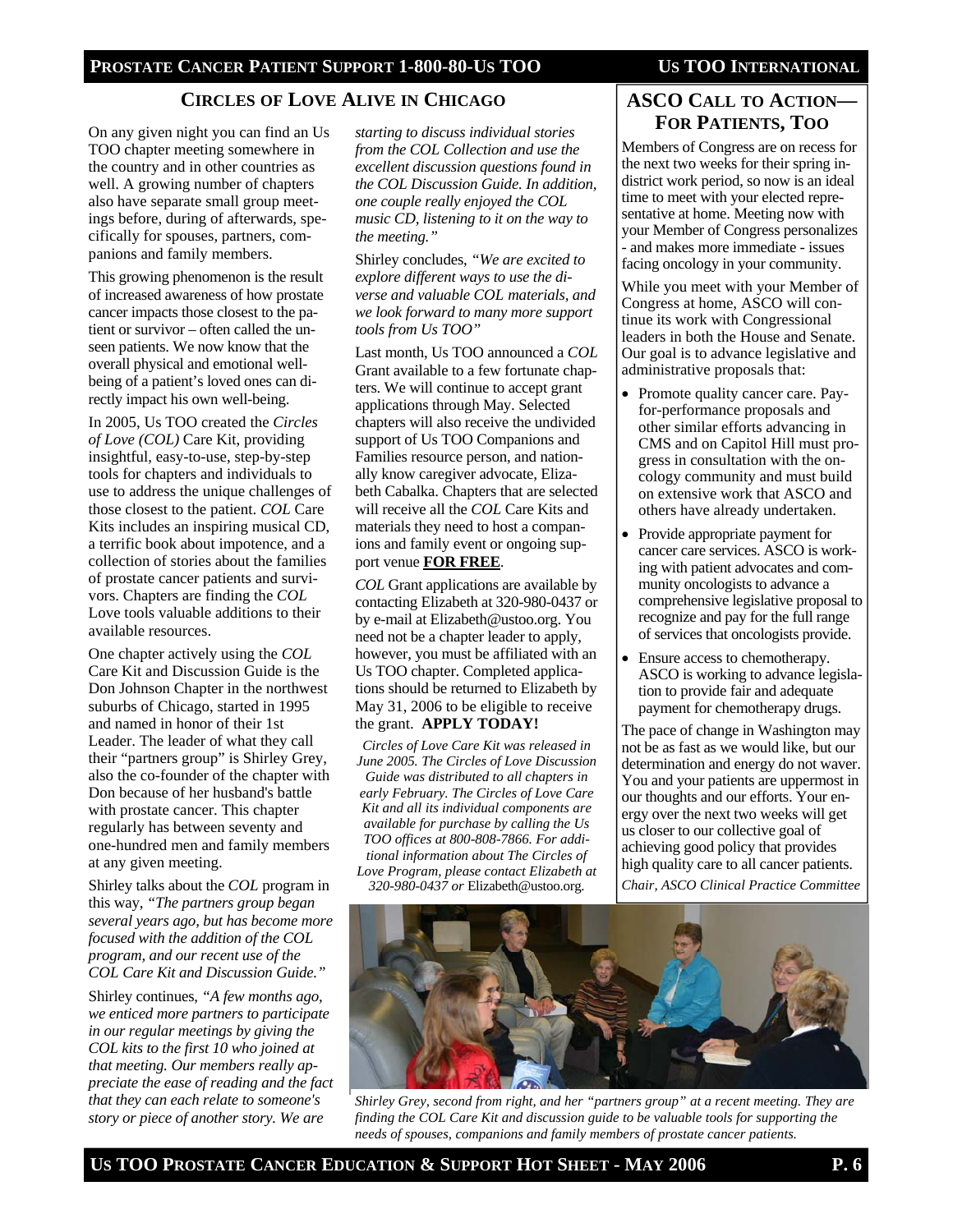#### **PROSTATE CANCER PATIENT SUPPORT 1-800-80-US TOO US TOO INTERNATIONAL**

#### **CIRCLES OF LOVE ALIVE IN CHICAGO ASCO CALL TO ACTION—**

On any given night you can find an Us TOO chapter meeting somewhere in the country and in other countries as well. A growing number of chapters also have separate small group meetings before, during of afterwards, specifically for spouses, partners, companions and family members.

This growing phenomenon is the result of increased awareness of how prostate cancer impacts those closest to the patient or survivor – often called the unseen patients. We now know that the overall physical and emotional wellbeing of a patient's loved ones can directly impact his own well-being.

In 2005, Us TOO created the *Circles of Love (COL)* Care Kit, providing insightful, easy-to-use, step-by-step tools for chapters and individuals to use to address the unique challenges of those closest to the patient. *COL* Care Kits includes an inspiring musical CD, a terrific book about impotence, and a collection of stories about the families of prostate cancer patients and survivors. Chapters are finding the *COL* Love tools valuable additions to their available resources.

One chapter actively using the *COL* Care Kit and Discussion Guide is the Don Johnson Chapter in the northwest suburbs of Chicago, started in 1995 and named in honor of their 1st Leader. The leader of what they call their "partners group" is Shirley Grey, also the co-founder of the chapter with Don because of her husband's battle with prostate cancer. This chapter regularly has between seventy and one-hundred men and family members at any given meeting.

Shirley talks about the *COL* program in this way, *"The partners group began several years ago, but has become more focused with the addition of the COL program, and our recent use of the COL Care Kit and Discussion Guide."*

Shirley continues, *"A few months ago, we enticed more partners to participate in our regular meetings by giving the COL kits to the first 10 who joined at that meeting. Our members really appreciate the ease of reading and the fact that they can each relate to someone's story or piece of another story. We are* 

*starting to discuss individual stories from the COL Collection and use the excellent discussion questions found in the COL Discussion Guide. In addition, one couple really enjoyed the COL music CD, listening to it on the way to the meeting."* 

Shirley concludes, *"We are excited to explore different ways to use the diverse and valuable COL materials, and we look forward to many more support tools from Us TOO"* 

Last month, Us TOO announced a *COL* Grant available to a few fortunate chapters. We will continue to accept grant applications through May. Selected chapters will also receive the undivided support of Us TOO Companions and Families resource person, and nationally know caregiver advocate, Elizabeth Cabalka. Chapters that are selected will receive all the *COL* Care Kits and materials they need to host a companions and family event or ongoing support venue **FOR FREE**.

*COL* Grant applications are available by contacting Elizabeth at 320-980-0437 or by e-mail at Elizabeth@ustoo.org. You need not be a chapter leader to apply, however, you must be affiliated with an Us TOO chapter. Completed applications should be returned to Elizabeth by May 31, 2006 to be eligible to receive the grant. **APPLY TODAY!**

*Circles of Love Care Kit was released in June 2005. The Circles of Love Discussion Guide was distributed to all chapters in early February. The Circles of Love Care Kit and all its individual components are available for purchase by calling the Us TOO offices at 800-808-7866. For additional information about The Circles of Love Program, please contact Elizabeth at* 

*320-980-0437 or* Elizabeth@ustoo.org.

# **FOR PATIENTS, TOO**

Members of Congress are on recess for the next two weeks for their spring indistrict work period, so now is an ideal time to meet with your elected representative at home. Meeting now with your Member of Congress personalizes - and makes more immediate - issues facing oncology in your community.

While you meet with your Member of Congress at home, ASCO will continue its work with Congressional leaders in both the House and Senate. Our goal is to advance legislative and administrative proposals that:

- Promote quality cancer care. Payfor-performance proposals and other similar efforts advancing in CMS and on Capitol Hill must progress in consultation with the oncology community and must build on extensive work that ASCO and others have already undertaken.
- Provide appropriate payment for cancer care services. ASCO is working with patient advocates and community oncologists to advance a comprehensive legislative proposal to recognize and pay for the full range of services that oncologists provide.
- Ensure access to chemotherapy. ASCO is working to advance legislation to provide fair and adequate payment for chemotherapy drugs.

The pace of change in Washington may not be as fast as we would like, but our determination and energy do not waver. You and your patients are uppermost in our thoughts and our efforts. Your energy over the next two weeks will get us closer to our collective goal of achieving good policy that provides high quality care to all cancer patients.

*Chair, ASCO Clinical Practice Committee* 



*Shirley Grey, second from right, and her "partners group" at a recent meeting. They are finding the COL Care Kit and discussion guide to be valuable tools for supporting the needs of spouses, companions and family members of prostate cancer patients.*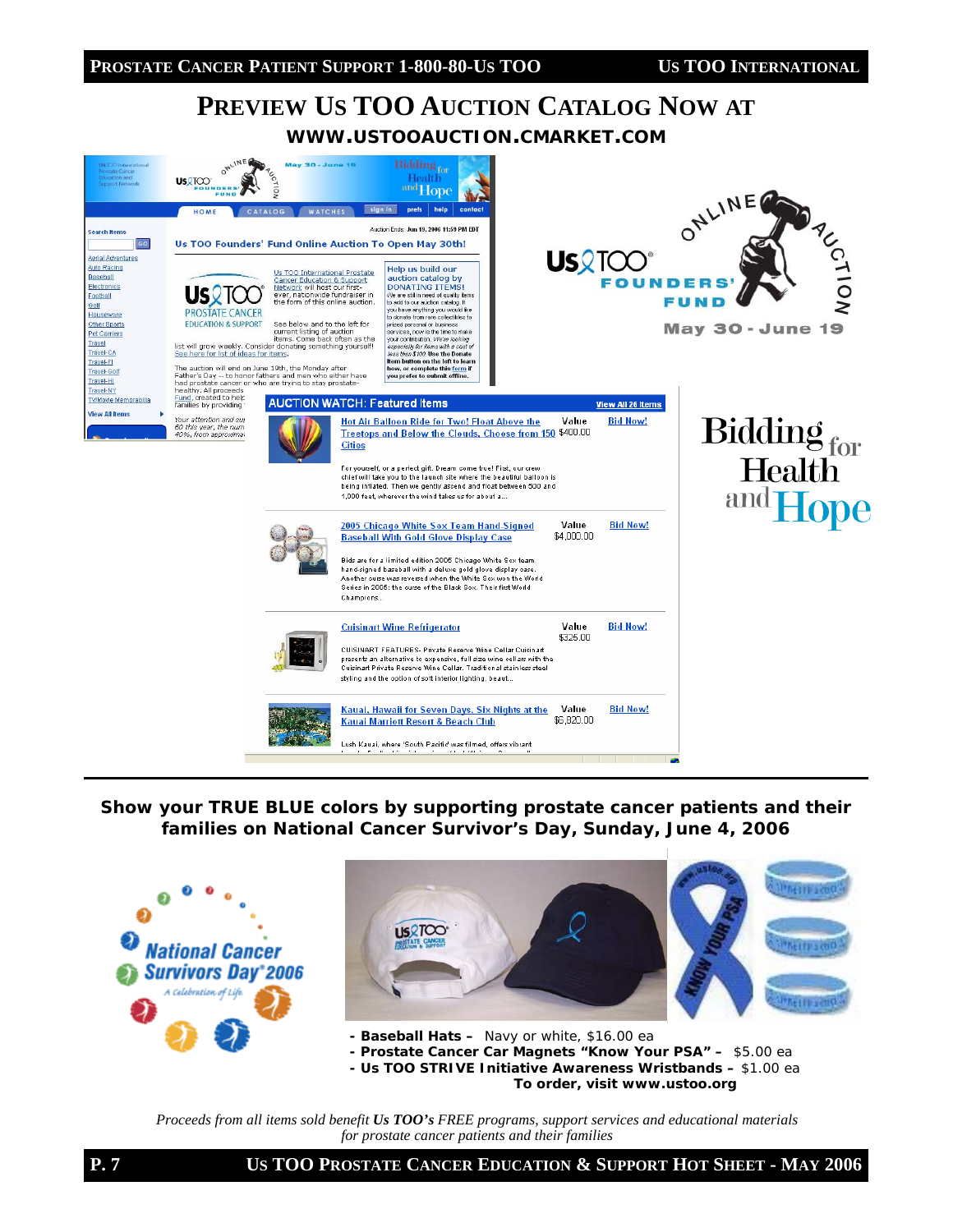# **PREVIEW US TOO AUCTION CATALOG NOW AT WWW.USTOOAUCTION.CMARKET.COM**



*Show your TRUE BLUE colors by supporting prostate cancer patients and their families on National Cancer Survivor's Day, Sunday, June 4, 2006* 



*Proceeds from all items sold benefit Us TOO's FREE programs, support services and educational materials for prostate cancer patients and their families*